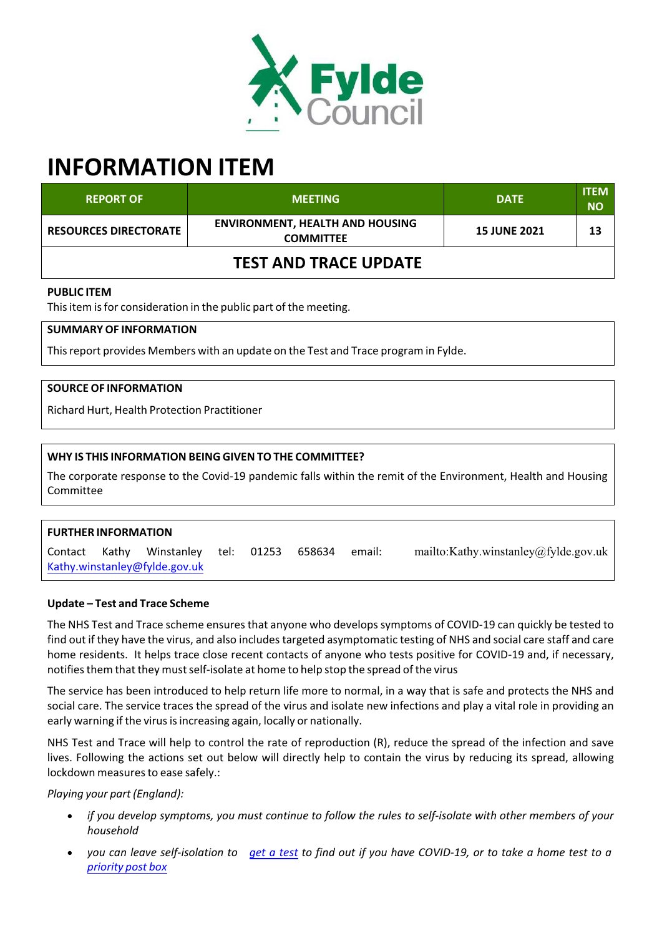

# **INFORMATION ITEM**

| <b>REPORT OF</b>             | <b>MEETING</b>                                             | <b>DATE</b>         | <b>ITEM</b><br><b>NO</b> |
|------------------------------|------------------------------------------------------------|---------------------|--------------------------|
| <b>RESOURCES DIRECTORATE</b> | <b>ENVIRONMENT, HEALTH AND HOUSING</b><br><b>COMMITTEE</b> | <b>15 JUNE 2021</b> | 13                       |
| <b>TEST AND TRACE UPDATE</b> |                                                            |                     |                          |

## **PUBLIC ITEM**

This item is for consideration in the public part of the meeting.

## **SUMMARY OF INFORMATION**

Thisreport provides Members with an update on the Test and Trace program in Fylde.

## **SOURCE OF INFORMATION**

Richard Hurt, Health Protection Practitioner

## **WHY IS THIS INFORMATION BEING GIVEN TO THE COMMITTEE?**

The corporate response to the Covid‐19 pandemic falls within the remit of the Environment, Health and Housing Committee

# **FURTHER INFORMATION** Contact Kathy Winstanley tel: 01253 658634 email: mailto:Kathy.winstanley@fylde.gov.uk Kathy.winstanley@fylde.gov.uk

#### **Update – Test and Trace Scheme**

The NHS Test and Trace scheme ensures that anyone who develops symptoms of COVID-19 can quickly be tested to find out if they have the virus, and also includestargeted asymptomatic testing of NHS and social care staff and care home residents. It helps trace close recent contacts of anyone who tests positive for COVID‐19 and, if necessary, notifies them that they must self-isolate at home to help stop the spread of the virus

The service has been introduced to help return life more to normal, in a way that is safe and protects the NHS and social care. The service traces the spread of the virus and isolate new infections and play a vital role in providing an early warning if the virus is increasing again, locally or nationally.

NHS Test and Trace will help to control the rate of reproduction (R), reduce the spread of the infection and save lives. Following the actions set out below will directly help to contain the virus by reducing its spread, allowing lockdown measures to ease safely.:

#### *Playing your part (England):*

- if you develop symptoms, you must continue to follow the rules to self-isolate with other members of your *household*
- you can leave self-isolation to get a test to find out if you have COVID-19, or to take a home test to a *priority post box*